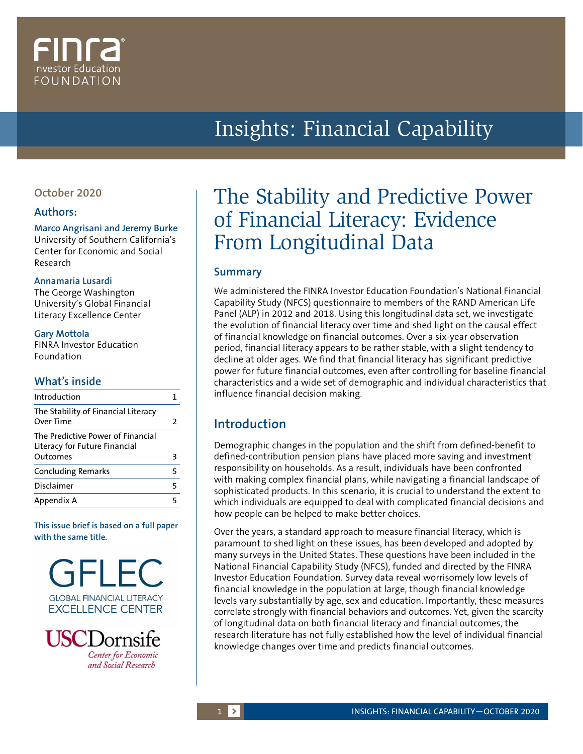# Investor Educatior FOUNDATION

# Insights: Financial Capability

## **October 2020**

### **Authors:**

#### **Marco Angrisani and Jeremy Burke**

University of Southern California's Center for Economic and Social Research

#### **Annamaria Lusardi**

The George Washington University's Global Financial Literacy Excellence Center

#### **Gary Mottola**

FINRA Investor Education Foundation

## **What's inside**

| Introduction                                                                   |   |
|--------------------------------------------------------------------------------|---|
| The Stability of Financial Literacy<br>Over Time                               | 2 |
| The Predictive Power of Financial<br>Literacy for Future Financial<br>Outcomes | З |
| <b>Concluding Remarks</b>                                                      | 5 |
| Disclaimer                                                                     | 5 |
| Appendix A                                                                     |   |

**This issue brief is based on a full paper with the same title.**





# The Stability and Predictive Power of Financial Literacy: Evidence From Longitudinal Data

## **Summary**

We administered the FINRA Investor Education Foundation's National Financial Capability Study (NFCS) questionnaire to members of the RAND American Life Panel (ALP) in 2012 and 2018. Using this longitudinal data set, we investigate the evolution of financial literacy over time and shed light on the causal effect of financial knowledge on financial outcomes. Over a six-year observation period, financial literacy appears to be rather stable, with a slight tendency to decline at older ages. We find that financial literacy has significant predictive power for future financial outcomes, even after controlling for baseline financial characteristics and a wide set of demographic and individual characteristics that influence financial decision making.

# **Introduction**

Demographic changes in the population and the shift from defined-benefit to defined-contribution pension plans have placed more saving and investment responsibility on households. As a result, individuals have been confronted with making complex financial plans, while navigating a financial landscape of sophisticated products. In this scenario, it is crucial to understand the extent to which individuals are equipped to deal with complicated financial decisions and how people can be helped to make better choices.

Over the years, a standard approach to measure financial literacy, which is paramount to shed light on these issues, has been developed and adopted by many surveys in the United States. These questions have been included in the National Financial Capability Study (NFCS), funded and directed by the FINRA Investor Education Foundation. Survey data reveal worrisomely low levels of financial knowledge in the population at large, though financial knowledge levels vary substantially by age, sex and education. Importantly, these measures correlate strongly with financial behaviors and outcomes. Yet, given the scarcity of longitudinal data on both financial literacy and financial outcomes, the research literature has not fully established how the level of individual financial knowledge changes over time and predicts financial outcomes.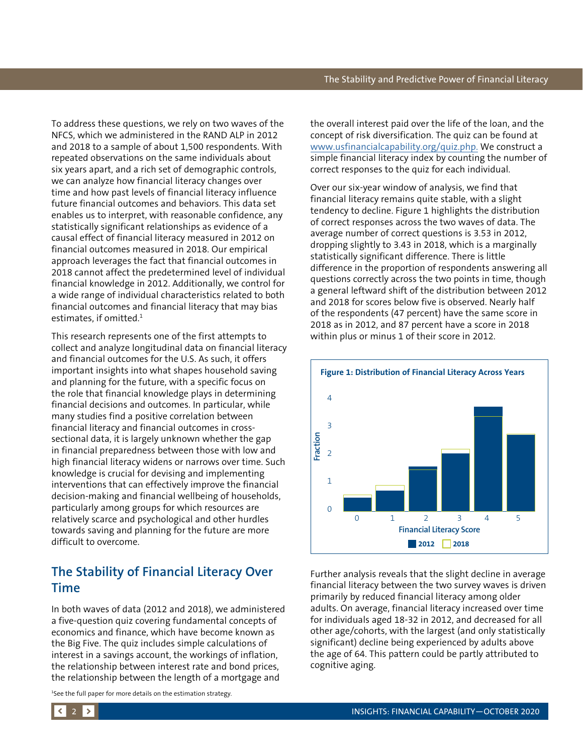<span id="page-1-0"></span>To address these questions, we rely on two waves of the NFCS, which we administered in the RAND ALP in 2012 and 2018 to a sample of about 1,500 respondents. With repeated observations on the same individuals about six years apart, and a rich set of demographic controls, we can analyze how financial literacy changes over time and how past levels of financial literacy influence future financial outcomes and behaviors. This data set enables us to interpret, with reasonable confidence, any statistically significant relationships as evidence of a causal effect of financial literacy measured in 2012 on financial outcomes measured in 2018. Our empirical approach leverages the fact that financial outcomes in 2018 cannot affect the predetermined level of individual financial knowledge in 2012. Additionally, we control for a wide range of individual characteristics related to both financial outcomes and financial literacy that may bias estimates, if omitted.<sup>1</sup>

This research represents one of the first attempts to collect and analyze longitudinal data on financial literacy and financial outcomes for the U.S. As such, it offers important insights into what shapes household saving and planning for the future, with a specific focus on the role that financial knowledge plays in determining financial decisions and outcomes. In particular, while many studies find a positive correlation between financial literacy and financial outcomes in crosssectional data, it is largely unknown whether the gap in financial preparedness between those with low and high financial literacy widens or narrows over time. Such knowledge is crucial for devising and implementing interventions that can effectively improve the financial decision-making and financial wellbeing of households, particularly among groups for which resources are relatively scarce and psychological and other hurdles towards saving and planning for the future are more difficult to overcome.

# **The Stability of Financial Literacy Over Time**

In both waves of data (2012 and 2018), we administered a five-question quiz covering fundamental concepts of economics and finance, which have become known as the Big Five. The quiz includes simple calculations of interest in a savings account, the workings of inflation, the relationship between interest rate and bond prices, the relationship between the length of a mortgage and

1 See the full paper for more details on the estimation strategy.

the overall interest paid over the life of the loan, and the concept of risk diversification. The quiz can be found at [www.usfinancialcapability.org/quiz.php.](http://www.usfinancialcapability.org/quiz.php.) We construct a simple financial literacy index by counting the number of correct responses to the quiz for each individual.

Over our six-year window of analysis, we find that financial literacy remains quite stable, with a slight tendency to decline. Figure 1 highlights the distribution of correct responses across the two waves of data. The average number of correct questions is 3.53 in 2012, dropping slightly to 3.43 in 2018, which is a marginally statistically significant difference. There is little difference in the proportion of respondents answering all questions correctly across the two points in time, though a general leftward shift of the distribution between 2012 and 2018 for scores below five is observed. Nearly half of the respondents (47 percent) have the same score in 2018 as in 2012, and 87 percent have a score in 2018 within plus or minus 1 of their score in 2012.



Further analysis reveals that the slight decline in average financial literacy between the two survey waves is driven primarily by reduced financial literacy among older adults. On average, financial literacy increased over time for individuals aged 18-32 in 2012, and decreased for all other age/cohorts, with the largest (and only statistically significant) decline being experienced by adults above the age of 64. This pattern could be partly attributed to cognitive aging.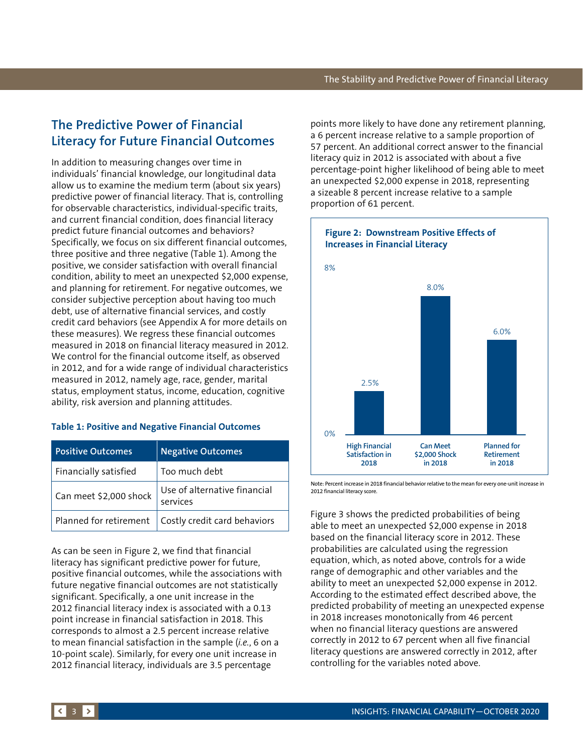# <span id="page-2-0"></span>**The Predictive Power of Financial Literacy for Future Financial Outcomes**

In addition to measuring changes over time in individuals' financial knowledge, our longitudinal data allow us to examine the medium term (about six years) predictive power of financial literacy. That is, controlling for observable characteristics, individual-specific traits, and current financial condition, does financial literacy predict future financial outcomes and behaviors? Specifically, we focus on six different financial outcomes, three positive and three negative (Table 1). Among the positive, we consider satisfaction with overall financial condition, ability to meet an unexpected \$2,000 expense, and planning for retirement. For negative outcomes, we consider subjective perception about having too much debt, use of alternative financial services, and costly credit card behaviors (see Appendix A for more details on these measures). We regress these financial outcomes measured in 2018 on financial literacy measured in 2012. We control for the financial outcome itself, as observed in 2012, and for a wide range of individual characteristics measured in 2012, namely age, race, gender, marital status, employment status, income, education, cognitive ability, risk aversion and planning attitudes.

#### **Table 1: Positive and Negative Financial Outcomes**

| <b>Positive Outcomes</b> | <b>Negative Outcomes</b>                 |
|--------------------------|------------------------------------------|
| Financially satisfied    | Too much debt                            |
| Can meet \$2,000 shock   | Use of alternative financial<br>services |
| Planned for retirement   | Costly credit card behaviors             |

As can be seen in Figure 2, we find that financial literacy has significant predictive power for future, positive financial outcomes, while the associations with future negative financial outcomes are not statistically significant. Specifically, a one unit increase in the 2012 financial literacy index is associated with a 0.13 point increase in financial satisfaction in 2018. This corresponds to almost a 2.5 percent increase relative to mean financial satisfaction in the sample (*i.e.*, 6 on a 10-point scale). Similarly, for every one unit increase in 2012 financial literacy, individuals are 3.5 percentage

points more likely to have done any retirement planning, a 6 percent increase relative to a sample proportion of 57 percent. An additional correct answer to the financial literacy quiz in 2012 is associated with about a five percentage-point higher likelihood of being able to meet an unexpected \$2,000 expense in 2018, representing a sizeable 8 percent increase relative to a sample proportion of 61 percent.



Note: Percent increase in 2018 financial behavior relative to the mean for every one-unit increase in 2012 financial literacy score.

Figure 3 shows the predicted probabilities of being able to meet an unexpected \$2,000 expense in 2018 based on the financial literacy score in 2012. These probabilities are calculated using the regression equation, which, as noted above, controls for a wide range of demographic and other variables and the ability to meet an unexpected \$2,000 expense in 2012. According to the estimated effect described above, the predicted probability of meeting an unexpected expense in 2018 increases monotonically from 46 percent when no financial literacy questions are answered correctly in 2012 to 67 percent when all five financial literacy questions are answered correctly in 2012, after controlling for the variables noted above.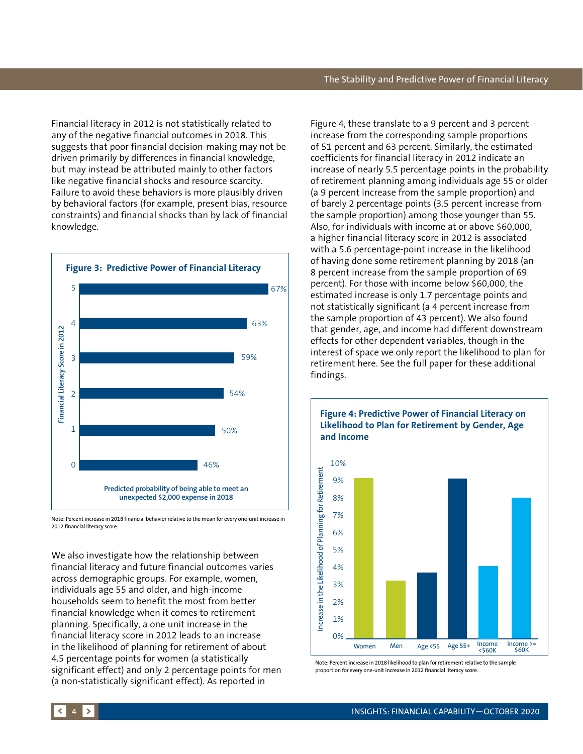Financial literacy in 2012 is not statistically related to any of the negative financial outcomes in 2018. This suggests that poor financial decision-making may not be driven primarily by differences in financial knowledge, but may instead be attributed mainly to other factors like negative financial shocks and resource scarcity. Failure to avoid these behaviors is more plausibly driven by behavioral factors (for example, present bias, resource constraints) and financial shocks than by lack of financial knowledge.



Note: Percent increase in 2018 financial behavior relative to the mean for every one-unit increase in

We also investigate how the relationship between financial literacy and future financial outcomes varies across demographic groups. For example, women, individuals age 55 and older, and high-income households seem to benefit the most from better financial knowledge when it comes to retirement planning. Specifically, a one unit increase in the financial literacy score in 2012 leads to an increase in the likelihood of planning for retirement of about 4.5 percentage points for women (a statistically significant effect) and only 2 percentage points for men (a non-statistically significant effect). As reported in

Figure 4, these translate to a 9 percent and 3 percent increase from the corresponding sample proportions of 51 percent and 63 percent. Similarly, the estimated coefficients for financial literacy in 2012 indicate an increase of nearly 5.5 percentage points in the probability of retirement planning among individuals age 55 or older (a 9 percent increase from the sample proportion) and of barely 2 percentage points (3.5 percent increase from the sample proportion) among those younger than 55. Also, for individuals with income at or above \$60,000, a higher financial literacy score in 2012 is associated with a 5.6 percentage-point increase in the likelihood of having done some retirement planning by 2018 (an 8 percent increase from the sample proportion of 69 percent). For those with income below \$60,000, the estimated increase is only 1.7 percentage points and not statistically significant (a 4 percent increase from the sample proportion of 43 percent). We also found that gender, age, and income had different downstream effects for other dependent variables, though in the interest of space we only report the likelihood to plan for retirement here. See the full paper for these additional findings.



Note: Percent increase in 2018 likelihood to plan for retirement relative to the sample<br>proportion for every one-unit increase in 2012 financial literacy score.

# **Figure 4: Predictive Power of Financial Literacy on**